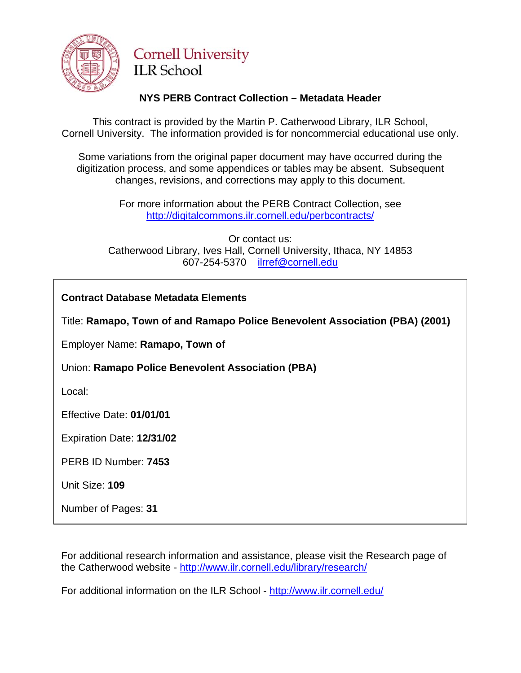

# **Cornell University ILR** School

# **NYS PERB Contract Collection – Metadata Header**

This contract is provided by the Martin P. Catherwood Library, ILR School, Cornell University. The information provided is for noncommercial educational use only.

Some variations from the original paper document may have occurred during the digitization process, and some appendices or tables may be absent. Subsequent changes, revisions, and corrections may apply to this document.

> For more information about the PERB Contract Collection, see http://digitalcommons.ilr.cornell.edu/perbcontracts/

Or contact us: Catherwood Library, Ives Hall, Cornell University, Ithaca, NY 14853 607-254-5370 [ilrref@cornell.edu](mailto:ilrref@cornell.edu)

Title: **Ramapo, Town of and Ramapo Police Benevolent Association (PBA) (2001)** 

Employer Name: **Ramapo, Town of** 

Union: **Ramapo Police Benevolent Association (PBA)** 

Local:

Effective Date: **01/01/01**

Expiration Date: **12/31/02** 

PERB ID Number: **7453** 

Unit Size: **109** 

Number of Pages: **31** 

For additional research information and assistance, please visit the Research page of the Catherwood website -<http://www.ilr.cornell.edu/library/research/>

For additional information on the ILR School - <http://www.ilr.cornell.edu/>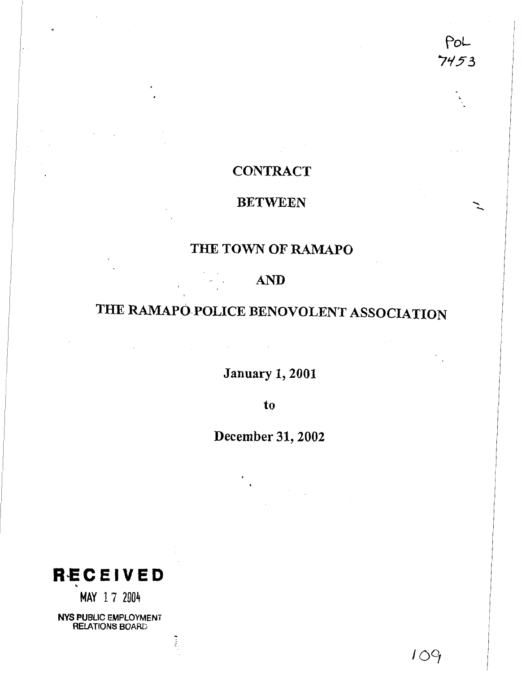PoL  $7453$ 

# **CONTRACT**

# **BETWEEN**

# **THE TOWN OF RAMAPO**

# **AND**

# **THE RAMAPO.POLICE BENOVOLENT ASSOCIATION**

**January 1,2001** 

**Contractor** 

**to** 

**December 31,2002** 

**RbECEIVED .** 

**MAY 17** <sup>2004</sup>

**NYS PUBLIC EMPLOYMENT RELATIONS BOARD**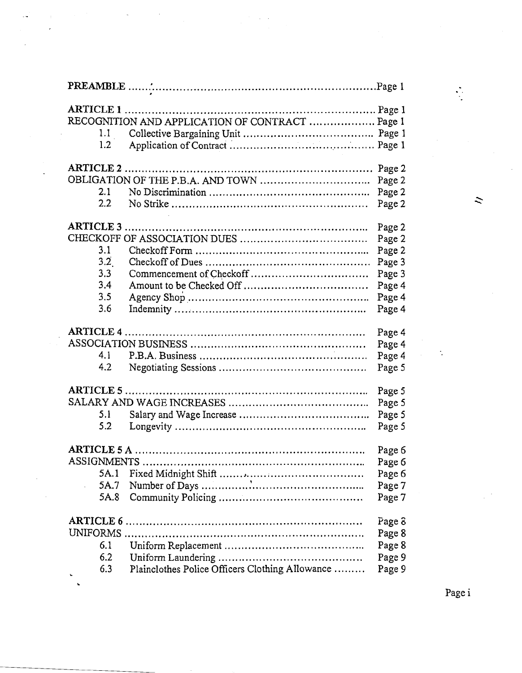|             | RECOGNITION AND APPLICATION OF CONTRACT  Page 1 |        |
|-------------|-------------------------------------------------|--------|
| 1.1         |                                                 |        |
| 1.2         |                                                 |        |
|             |                                                 |        |
|             |                                                 | Page 2 |
|             |                                                 | Page 2 |
| 2.1         |                                                 | Page 2 |
| $2.2\,$     |                                                 | Page 2 |
|             |                                                 | Page 2 |
|             |                                                 | Page 2 |
| 3.1         |                                                 | Page 2 |
| 3.2         |                                                 | Page 3 |
| 3.3         |                                                 | Page 3 |
| 3.4         |                                                 | Page 4 |
| 3.5         |                                                 | Page 4 |
| 3.6         |                                                 | Page 4 |
|             |                                                 |        |
|             |                                                 | Page 4 |
|             |                                                 | Page 4 |
| 4.1         |                                                 | Page 4 |
| 4.2         |                                                 | Page 5 |
|             |                                                 |        |
| $ARTICLE 5$ |                                                 | Page 5 |
|             |                                                 | Page 5 |
| 5.1         |                                                 | Page 5 |
| 5.2         |                                                 | Page 5 |
|             |                                                 | Page 6 |
|             |                                                 | Page 6 |
| 5A.1        |                                                 | Page 6 |
| 5A.7        |                                                 | Page 7 |
| 5A.8        |                                                 | Page 7 |
|             |                                                 |        |
|             |                                                 | Page 8 |
| UNIFORMS    |                                                 | Page 8 |
| 6.1         |                                                 | Page 8 |
| 6.2         |                                                 | Page 9 |
| 6.3         | Plainclothes Police Officers Clothing Allowance | Page 9 |

 $\ddot{\phantom{0}}$ 

..

 $\bar{z}$ 

Page i

 $\ddot{\cdot}$ 

 $\ddot{\sim}$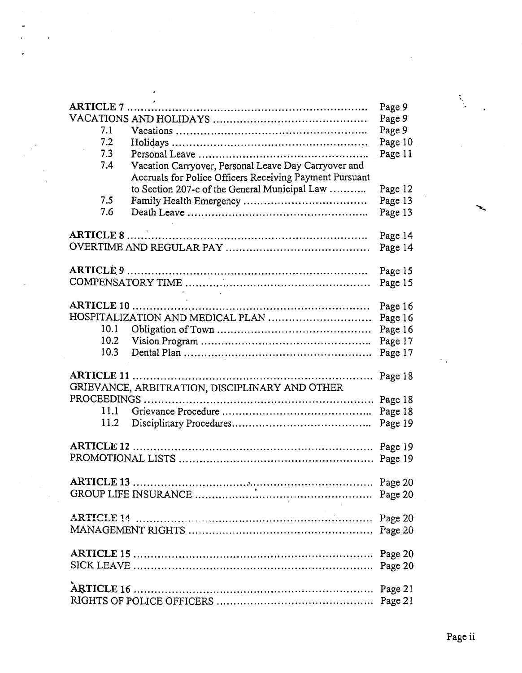|           |                                                         | Page 9<br>Page 9 |
|-----------|---------------------------------------------------------|------------------|
| 7.1       |                                                         |                  |
|           |                                                         | Page 9           |
| 7.2       |                                                         | Page 10          |
| 7.3       |                                                         | Page 11          |
| 7.4       | Vacation Carryover, Personal Leave Day Carryover and    |                  |
|           | Accruals for Police Officers Receiving Payment Pursuant |                  |
|           | to Section 207-c of the General Municipal Law           | Page 12          |
| 7.5       |                                                         | Page 13          |
| 7.6       |                                                         | Page 13          |
| ARTICLE 8 |                                                         | Page 14          |
|           |                                                         | Page 14          |
|           |                                                         |                  |
|           |                                                         | Page 15          |
|           |                                                         | Page 15          |
|           |                                                         |                  |
|           |                                                         | Page 16          |
|           | HOSPITALIZATION AND MEDICAL PLAN                        | Page 16          |
| 10.1      |                                                         | Page 16          |
| 10.2      |                                                         | Page 17          |
| 10.3      |                                                         | Page 17          |
|           |                                                         |                  |
|           |                                                         | Page 18          |
|           | GRIEVANCE, ARBITRATION, DISCIPLINARY AND OTHER          |                  |
|           |                                                         | Page 18          |
| 11.1      |                                                         | Page 18          |
| 11.2      |                                                         | Page 19          |
|           |                                                         |                  |
|           |                                                         |                  |
|           |                                                         |                  |
|           |                                                         |                  |
|           |                                                         |                  |
|           |                                                         |                  |
|           |                                                         |                  |
|           |                                                         |                  |
|           |                                                         |                  |
|           |                                                         |                  |
|           |                                                         |                  |
|           |                                                         |                  |
|           |                                                         |                  |
|           |                                                         |                  |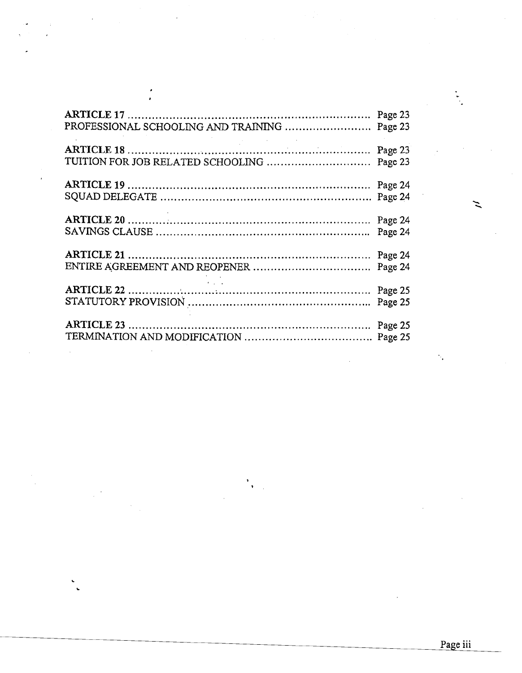|                                   | Page 23 |
|-----------------------------------|---------|
| TUITION FOR JOB RELATED SCHOOLING | Page 23 |
|                                   | Page 24 |
|                                   | Page 24 |
|                                   | Page 24 |
|                                   | Page 24 |
|                                   | Page 24 |
|                                   | Page 24 |
|                                   | Page 25 |
|                                   | Page 25 |

Ń,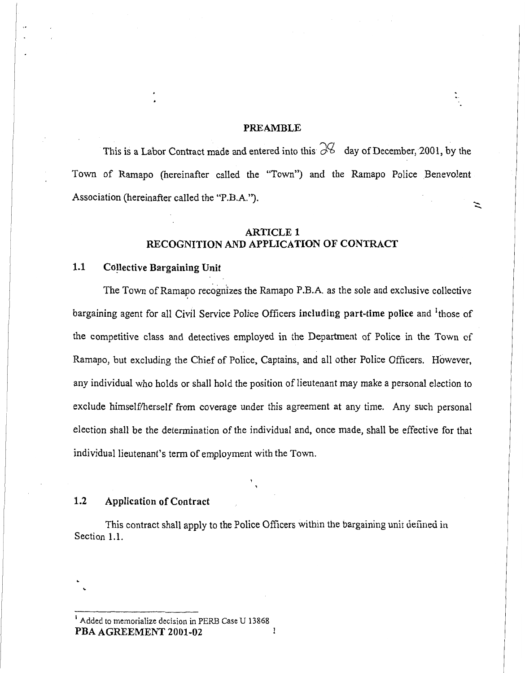#### **PREAMBLE**

্রি

This is a Labor Contract made and entered into this  $\partial\mathcal{G}$  day of December, 2001, by the Town of Ramapo (hereinafter called the "Town") and the Ramapo Police Benevolent Association (hereinafter called the "P.B.A."). z

# **ARTICLE 1 RECOGNITION AND APPLICATION OF CONTRACT**

I. I. San Francisco II. San Francisco II. San Francisco II. San Francisco II. San Francisco II. San Francisco

# **1.1 Collective Bargaining Unit**

The Town of Ramapo recognizes the Ramapo P.B.A. as the sole and exclusive collective bargaining agent for all Civil Service Police Officers **including part-time police** and 'those of the competitive class and detectives employed in the Department of Police in the Town of Ramapo, but excluding the Chief of Police, Captains, and all other Police Officers. However, any individual who holds or shall hold the position of lieutenant may make a personal election to exclude himself/herself from coverage under this agreement at any time. Any such personal election shall be the determination of the individual and, once made, shall be effective for that individual lieutenant's term of employment with the Town.

# **1.2 Application of Contract**

This contract shall apply to the Police Officers within the bargaining unit defined in Section 1.1.

<sup>&</sup>lt;sup>1</sup> Added to memorialize decision in PERB Case U 13868 **PBA AGREEMENT 2001-02** 1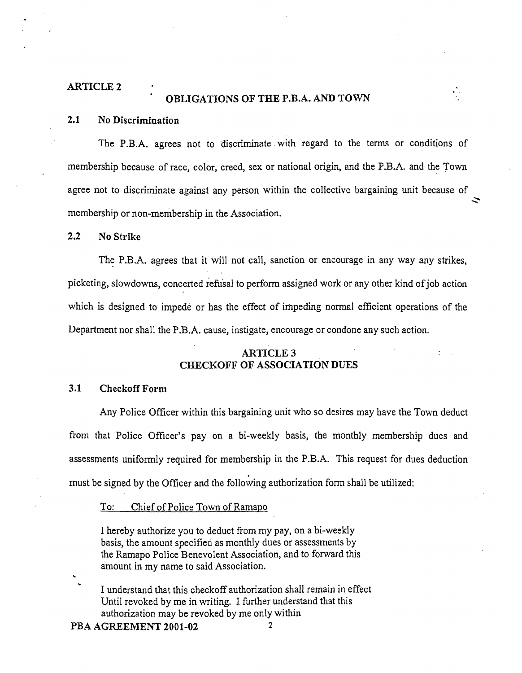#### **ARTICLE 2**

# **OBLIGATIONS OF THE P.B.A.** AND **TOWN**

#### 2.1 No Discrimination

The P.B.A. agrees not to discriminate with regard to the terms or conditions of membership because of race, color, creed, sex or national origin, and the P.B.A. and the Town agree not to discriminate against any person within the collective bargaining unit because of **2**  membership or non-membership in the Association.

# **2.2** No Strike

The P.B.A. agrees that it will not call, sanction or encourage in any way any strikes, picketing, slowdowns, concerted refusal to perform assigned work or any other kind of job action which is designed to impede or has the effect of impeding normal efficient operations of the Department nor shall the P.B.A. cause, instigate, encourage or condone any such action.

## **ARTICLE 3** .. **CHECKOFF OF ASSOCIATION DUES**

#### **3.1** Checkoff Form

Any Police Officer within this bargaining unit who so desires may have the Town deduct from that Police Officer's pay on a bi-weekly basis, the monthly membership dues and assessments uniformly required for membership in the P.B.A. This request for dues deduction must be signed by the Officer and the following authorization form shall be utilized:

#### To: Chief of Police Town of Ramapo

I hereby authorize you to deduct from my pay, on a bi-weekly basis, the amount specified as monthly dues or assessments by the Ramapo Police Benevolent Association, and to forward this amount in my name to said Association.

. I understand that this checkoff authorization shall remain in effect Until revoked by me in writing. I further understand that this authorization may be revoked by me only within

**PBA AGREEMENT 2001-02 2** 

**L**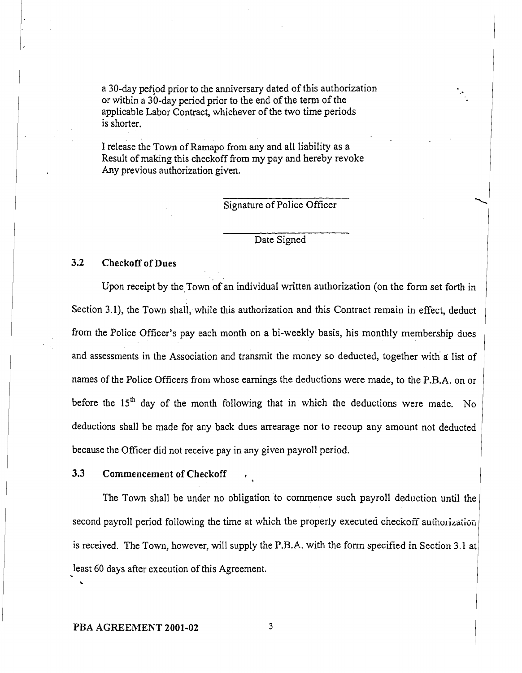a 30-day pertiod prior to the anniversary dated of this authorization or within a 30-day period prior to the end of the term of the applicable Labor Contract, whichever of the two time periods is shorter.

I release the Town of Ramapo from any and all liability as a Result of making this checkoff from my pay and hereby revoke Any previous authorization given.

Signature of Police Officer

# Date Signed

#### **3.2** Checkoff of **Dues**

Upon receipt by the Town of an individual written authorization (on the form set forth in Section 3.1), the Town shall, while this authorization and this Contract remain in effect, deduct from the Police Officer's pay each month on a bi-weekly basis, his monthly membership dues and assessments in the Association and transmit the money so deducted, together with' **d** list of names of the Police Officers from whose earnings the deductions were made, to the P.B.A. on or before the 15<sup>th</sup> day of the month following that in which the deductions were made. No deductions shall be made for any back dues arrearage nor to recoup any amount not deducted because the Officer did not receive pay in any given payroll period.

# **3.3** Commencement of Checkoff ,

The Town shall be under no obligation to commence such payroll deduction until the second payroll period following the time at which the properly executed checkoff authorization is received. The Town, however, will supply the P.B.A. with the form specified in Section 3.1 a least 60 days after execution of this Agreement. **<sup>L</sup>**

**1** 

**L**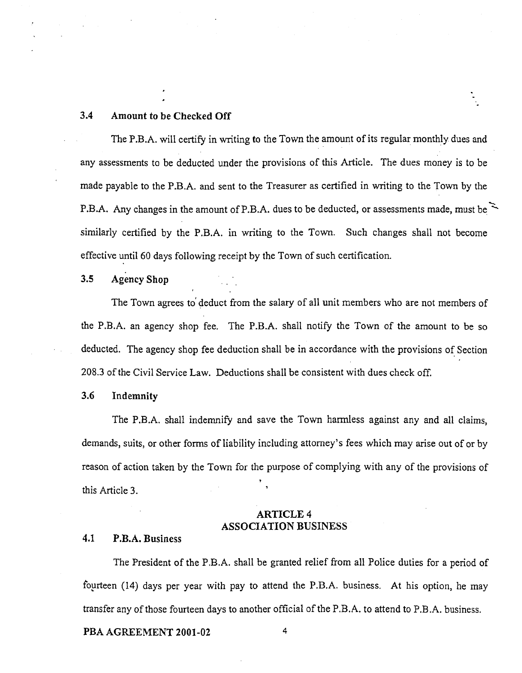## **3.4** Amount to **be Checked Off**

The P.B.A. will certify in writing to the Town the amount of its regular monthly dues and any assessments to be deducted under the provisions of this Article. The dues money is to be made payable to the P.B.A. and sent to the Treasurer as certified in writing to the Town by the  $\mathcal{L}$ any assessments to be deducted under the provisions of this Article. The dues money is to be made payable to the P.B.A. and sent to the Treasurer as certified in writing to the Town by the P.B.A. Any changes in the amount similarly certified by the P.B.A. in writing to the Town. Such changes shall not become effective until 60 days following receipt by the Town of such certification.

# 3.5 **Agency Shop**

The Town agrees to' deduct from the salary of all unit members who are not members of the P.B.A. an agency shop fee. The P.B.A. shall notify the Town of the amount to be so deducted. The agency shop fee deduction shall be in accordance with the provisions of Section 208.3 of the Civil Service Law. Deductions shall be consistent with dues check off.

# **3.6** Indemnity

The P.B.A. shall indemnify and save the Town harmless against any and all claims, demands, suits, or other forms of liability including attorney's fees which may arise out of or by reason of action taken by the Town for the purpose of complying with any of the provisions of this Article 3.

# **ARTICLE 4 ASSOCIATION** BUSINESS

# 4.1 P.B.A. **Business**

The President of the P.B.A. shall be granted relief from all Police duties for a period of fourteen (14) days per year with pay to attend the P.B.A. business. At his option, he may transfer any of those fourteen days to another official of the P.B.A. to attend to P.B.A. business.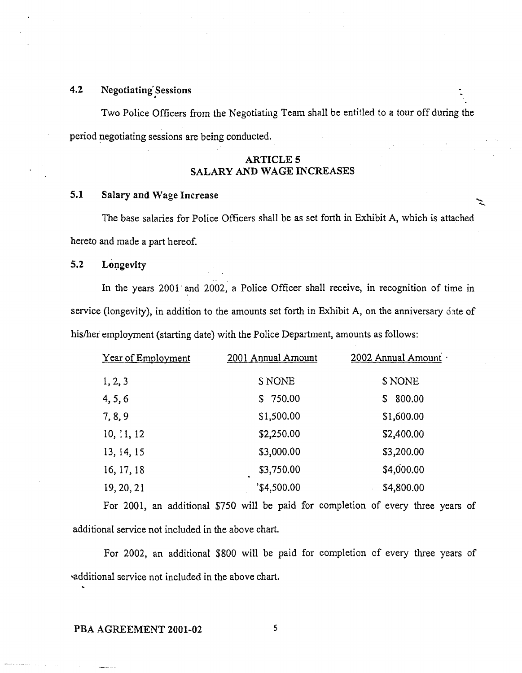# 4.2 Negotiating Sessions

Two Police Officers fiom the Negotiating Team shall be entitled to a tour off during the period negotiating sessions are being conducted.

# ARTICLE **5 SALARY** AND **WAGE INCREASES**

# **5.1** Salary **and** Wage Increase

The base salaries for Police Officers shall be as set forth in Exhibit A, which is attached hereto and made a part hereof.

#### 5.2 **Longevity**

In the years 2001 'and 2002; a Police Officer shall receive, in recognition of time in service (longevity), in addition to the amounts set forth in Exhibit A, on the anniversary date of his/her employment (starting date) with the Police Department, amounts as follows:

| Year of Employment | 2001 Annual Amount         | 2002 Annual Amount |
|--------------------|----------------------------|--------------------|
| 1, 2, 3            | \$ NONE                    | \$ NONE            |
| 4, 5, 6            | \$750.00                   | 800.00<br>S        |
| 7,8,9              | \$1,500.00                 | \$1,600.00         |
| 10, 11, 12         | \$2,250.00                 | \$2,400.00         |
| 13, 14, 15         | \$3,000.00                 | \$3,200.00         |
| 16, 17, 18         | \$3,750.00<br>$\mathbf{r}$ | \$4,000.00         |
| 19, 20, 21         | '\$4,500.00                | \$4,800.00         |

For 2001, an additional \$750 will be paid for completion of every three years of additional service not included in the above chart.

For 2002, an additional \$800 will be paid for completion of every three years of additional service not included in the above chart.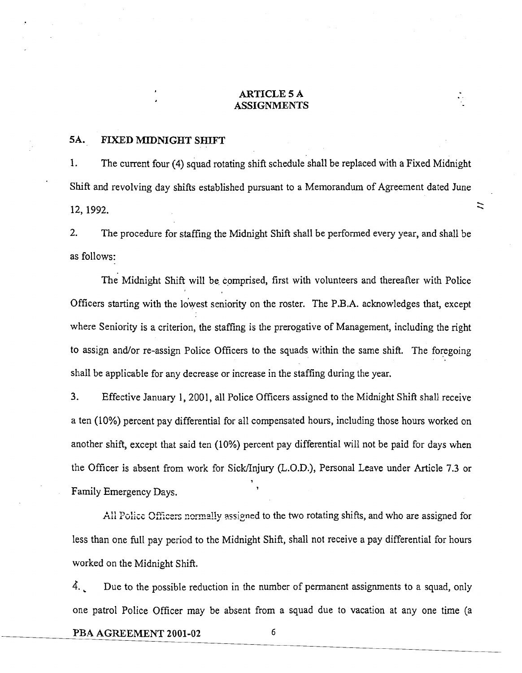#### **ARTICLE 5 A ASSIGNMENTS**

#### **5A. FIXED MIDNIGHT SHIFT**

1. The current four (4) squad rotating shift schedule shall be replaced with a Fixed Midnight Shift and revolving day shifts established pursuant to a Memorandum of Agreement dated June  $12, 1992.$   $\approx$ 

 $\ddot{\sim}$ 

2. The procedure for staffing the Midnight Shift shall be performed every year, and shall be as follows:

The Midnight Shift will be comprised, first with volunteers and thereafter with Police Officers starting with the lowest seniority on the roster. The P.B.A. acknowledges that, except where Seniority is a criterion, the staffing is the prerogative of Management, including the right to assign and/or re-assign Police Officers to the squads within the same shift. The foregoing shall be applicable for any decrease or increase in the staffing during the year.

**3.** Effective January 1, 2001, all Police Officers assigned to the Midnight Shifi shall receive a ten (10%) percent pay differential for all compensated hours, including those hours worked on another shift, except that said ten (10%) percent pay differential will not be paid for days when the Officer is absent from work for Sick/Injury (L.O.D.), Personal Leave under Article 7.3 or **1**  Family Emergency Days. **<sup>1</sup>**

All Police Officers normally assigned to the two rotating shifts, and who are assigned for less than one full pay period to the Midnight Shift, shall not receive a pay differential for hours worked on the Midnight Shift.

4. Due to the possible reduction in the number of permanent assignments to a squad, only one patrol Police Officer may be absent from a squad due to vacation at any one time (a

**PBA AGREEMENT 2001-02**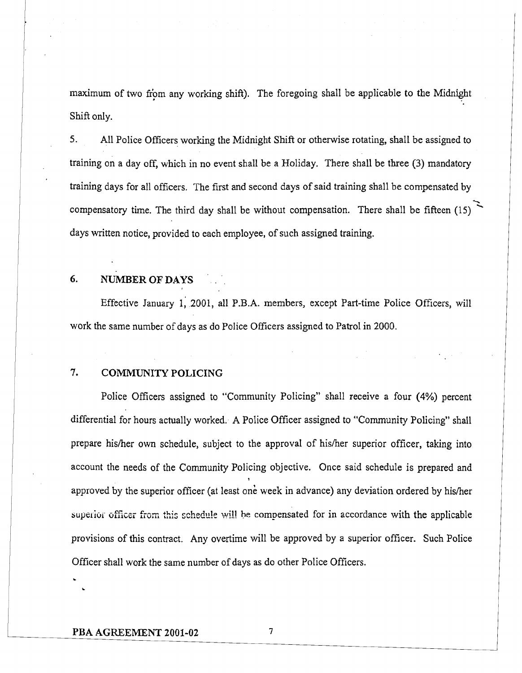maximum of two fiom any working shift). The foregoing shall be applicable to the Midnight Shift only.

I **5.** All Police Officers working the Midnight Shift or otherwise rotating, shall be assigned to I training on a day off, which in no event shall be a Holiday. There shall be three **(3)** mandatory training days for all officers. The first and second days of said training shall be compensated by  $\mathcal{L}$ training on a day off, which in no event shall be a Holiday. There shall be three (3) mandatory<br>training days for all officers. The first and second days of said training shall be compensated by<br>compensatory time. The thi days written notice, provided to each employee, of such assigned training.

# **6. NUMBER OF DAYS**

Effective January 1; 2001, all P.B.A. members, except Part-time Police Officers, will work the same number of days as do Police Officers assigned to Patrol in 2000.

# **7. COMMUNITY POLICING**

Police Officers assigned to "Community Policing" shall receive a four (4%) percent differential for hours actually worked. A Police Officer assigned to "Community Policing" shall prepare hisher own schedule, subject to the approval of hisher superior officer, taking into account the needs of the Community Policing objective. Once said schedule is prepared and **1**  approved by the superior officer (at least one week in advance) any deviation ordered by his/her superior officer from this schedule will be compensated for in accordance with the applicable provisions of this contract. Any overtime will be approved by a superior officer. Such Police Officer shall work the same number of days as do other Police Officers.

 $\overline{7}$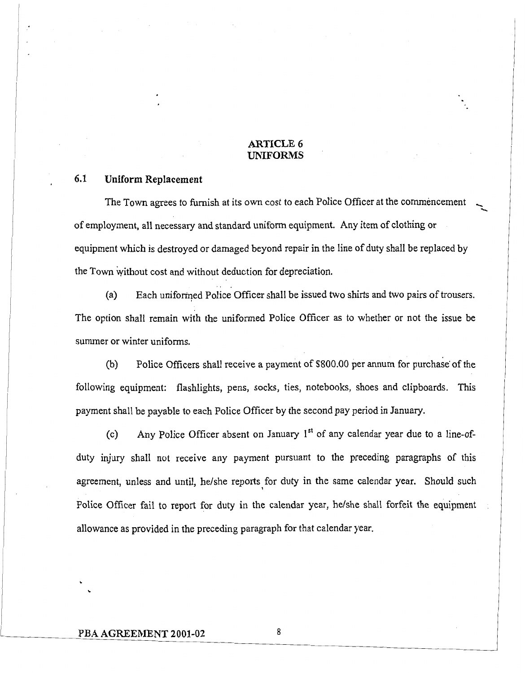#### **ARTICLE** *6*  **UNIFORMS**

# **6.1 Uniform Replacement**

The Town agrees to furnish at its own cost to each Police Officer at the commencement of employment, all necessary and standard uniform equipment. Any item of clothing or equipment which is destroyed or damaged beyond repair in the line of duty shall be replaced by the Town without cost and without deduction for depreciation.

\*. .

(a) Each uniforined Police Officer shall be issued two shirts and two pairs of trousers. The option shall remain with the uniformed Police Officer as to whether or not the issue be summer or winter uniforms.

(b) Police Officers shall receive a payment of \$800.00 per annum for purchase' of the following equipment: flashlights, pens, socks, ties, notebooks, shoes and clipboards. This payment shall be payable to each Police Officer by the second pay period in January.

(c) Any Police Officer absent on January  $1<sup>st</sup>$  of any calendar year due to a line-ofduty injury shall not receive any payment pursuant to the preceding paragraphs of this agreement, unless and until, he/she reports for duty in the same calendar year. Should such Police Officer fail to report for duty in the calendar year, he/she shall forfeit the equipment allowance as provided in the preceding paragraph for that calendar year.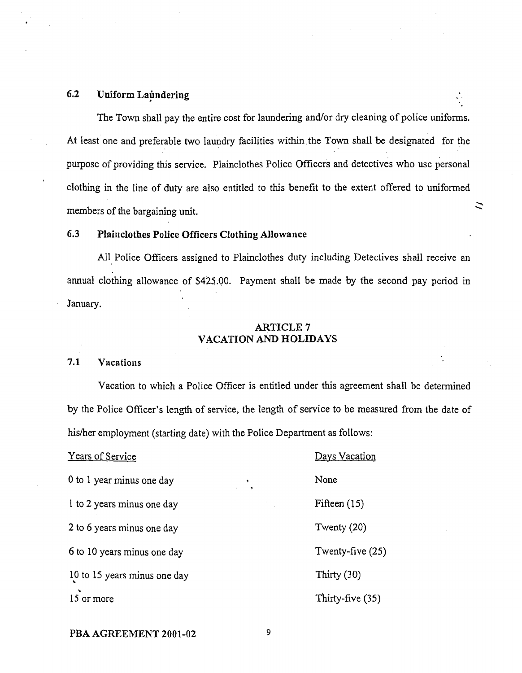# 6.2 Uniform Laundering

The Town shall pay the entire cost for laundering and/or dry cleaning of police uniforms. At least one and preferable two laundry facilities within the Town shall be designated for the purpose of providing this service. Plainclothes Police Officers and detectives who use personal clothing in the line of duty are also entitled to this benefit to the extent offered to uniformed members of the bargaining unit.

ニ

# *6.3* Plainclothes Police Officers Clothing Allowance

All Police Officers assigned to Plainclothes duty including Detectives shall receive an annual clothing allowance of \$415.00. Payment shall be made by the second pay period in January.

#### ARTICLE 7 VACATION AND HOLIDAYS

#### 7.1 Vacations

Vacation to which a Police Officer is entitled under this agreement shall be determined by the Police Officer's length of service, the length of service to be measured from the date of his/her employment (starting date) with the Police Department as follows:

| Years of Service                                          | Days Vacation      |
|-----------------------------------------------------------|--------------------|
| 0 to 1 year minus one day<br>$\mathbf{r}$                 | None               |
| and the control of the con-<br>I to 2 years minus one day | Fifteen $(15)$     |
| 2 to 6 years minus one day                                | Twenty $(20)$      |
| 6 to 10 years minus one day                               | Twenty-five $(25)$ |
| 10 to 15 years minus one day                              | Thirty (30)        |
| 15 or more                                                | Thirty-five (35)   |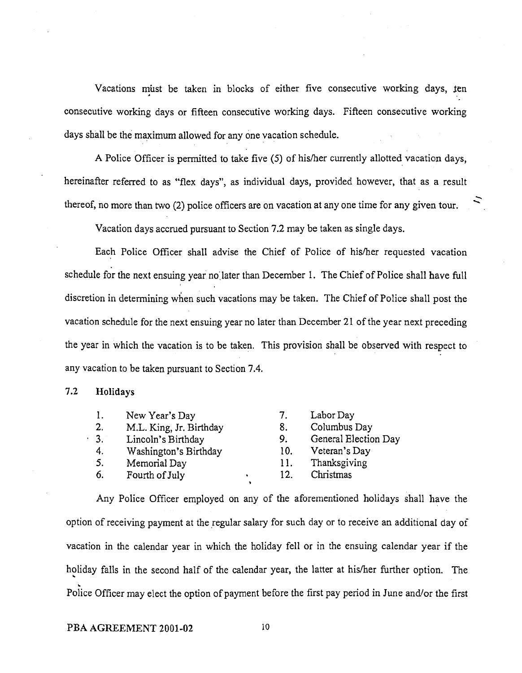Vacations must be taken in blocks of either five consecutive working days, ten consecutive working days or fifteen consecutive working days. Fifteen consecutive working days shall be the maximum allowed for any one vacation schedule.

A Police Officer is permitted to take five (5) of hisher currently allotted vacation days, hereinafter referred to as "flex days", as individual days, provided however, that as a result thereof, no more than two (2) police officers are on vacation at any one time for any given tour.

 $\frac{d}{dt}$ 

Vacation days accrued pursuant to Section 7.2 may be taken as single days.

Each Police Officer shall advise the Chief of Police of hisher requested vacation schedule for the next ensuing year no later than December 1. The Chief of Police shall have full discretion in determining when such vacations may be taken. The Chief of Police shall post the vacation schedule for the next ensuing year no later than December 21 of the year next preceding the year in which the vacation is to be taken. This provision shall be observed with respect to any vacation to be taken pursuant to Section 7.4.

#### **7.2 Holidays**

| 1.             | New Year's Day          | 7.  | Labor Day            |
|----------------|-------------------------|-----|----------------------|
| 2.             | M.L. King, Jr. Birthday | 8.  | Columbus Day         |
| 3 <sub>1</sub> | Lincoln's Birthday      | 9.  | General Election Day |
| 4.             | Washington's Birthday   | 10. | Veteran's Day        |
| 5.             | Memorial Day            | 11. | Thanksgiving         |
| 6.             | Fourth of July          | 12. | Christmas            |

Any Police Officer employed on any of the aforementioned holidays shall have the option of receiving payment at the regular salary for such day or to receive an additional day of vacation in the calendar year in which the holiday fell or in the ensuing calendar year if the holiday falls in the second half of the calendar year, the latter at his/her further option. The Police Officer may elect the option of payment before the first pay period in June and/or the first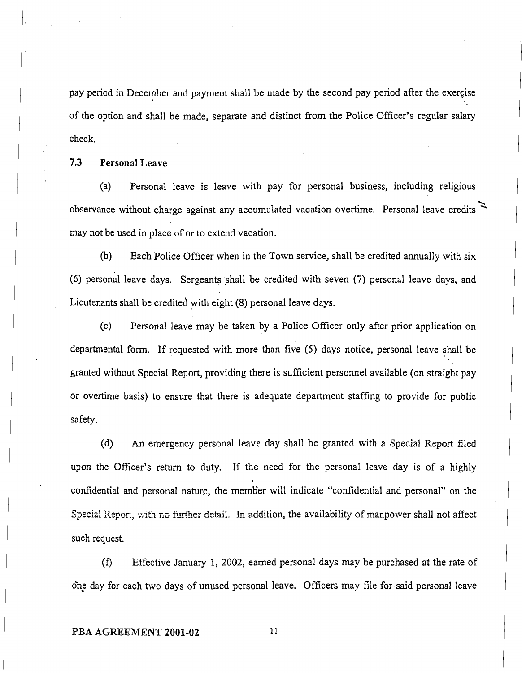pay period in December and payment shall be made by the second pay period after the exercise of the option and shall be made, separate and distinct from the Police Officer's regular salary check.

**7.3 Personal Leave** 

(a) Personal leave is leave with pay for personal business, including religious  $\mathcal{L}$ 7.3 Personal Leave<br>
(a) Personal leave is leave with pay for personal business, including religious<br>
observance without charge against any accumulated vacation overtime. Personal leave credits  $\geq$ may not be used in place of or to extend vacation.

(b) Each Police Officer when in the Town service, shall be credited annually with six (6) personal leave days. Sergeants shall be credited with seven  $(7)$  personal leave days, and Lieutenants shall be credited with eight (8) personal leave days.

(c) Personal leave may be taken by a Police Officer only after prior application on departmental form. If requested with more than five (5) days notice, personal leave shall be granted without Special Report, providing there is sufficient personnel available (on straight pay or overtime basis) to ensure that there is adequate' department staffing to provide for public safety.

(d) An emergency personal leave day shall be granted with a Special Report filed upon the Officer's return to duty. If the need for the personal leave day is of a highly confidential and personal nature, the memb'er will indicate "confidential and personal" on the Special Report, with no further detail. In addition, the availability of manpower shall not affect such request.

(f) Effective January 1, 2002, earned personal days may be purchased at the rate of one day for each two days of unused personal leave. Officers may file for said personal leave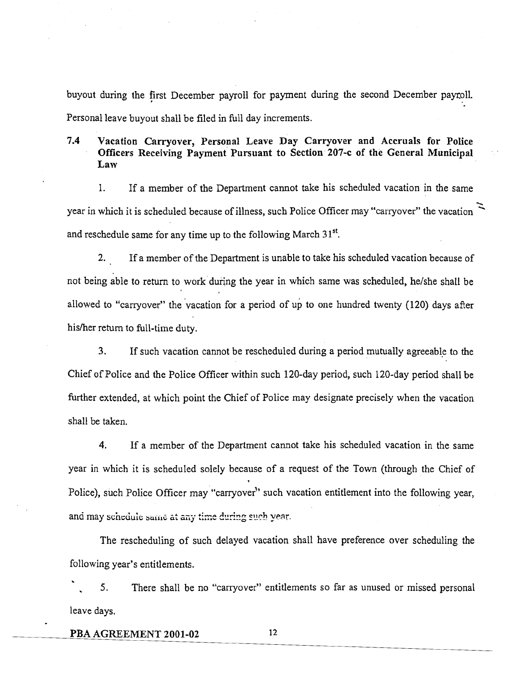buyout during the first December payroll for payment during the second December paytoll. Personal leave buyout shall be filed in fill day increments.

# **7.4 Vacation Carryover, Personal Leave Day Carryover and Accruals for Police Officers Receiving Payment Pursuant to Section 207-c of the General Municipal Law**

**1.** If a member of the Department cannot take his scheduled vacation in the same 1. If a member of the Department cannot take his scheduled vacation in the same<br>year in which it is scheduled because of illness, such Police Officer may "carryover" the vacation and reschedule same for any time up to the following March **3** 1''.

**2.** If a member of the Department is unable to take his scheduled vacation because of not being able to return to work during the year in which same was scheduled, he/she shall be allowed to "carryover" the vacation for a period of up to one hundred twenty (120) days after his/her return to full-time duty.

**3.** If such vacation cannot be rescheduled during a period mutually agreeable to the Chief of Police and the Police Officer within such 120-day period, such 120-day period shall be further extended, at which point the Chief of Police may designate precisely when the vacation shall be taken.

**4.** If a member of the Department cannot take his scheduled vacation in the same year in which it is scheduled solely because of a request of the Town (through the Chief of , Police), such Police Officer may "carryover" such vacation entitlement into the following year,  $2$  **1. 1. 1. 1.**  *n carrer <b>a c a<sub> <i>n* **<b>***n n cure <b><i>n ccarre ccarre <b><i>n ccarre <b><i>n ccarre <b><i>n ccarre <b><i>n ccarre <b><i>n ccarre <b><i>n ccarre <b><i>n* </sub>

The rescheduling of such delayed vacation shall have preference over scheduling the following year's entitlements.<br>
S. There shall be

. **5.** There shall be no "carryover" entitlements so far as unused or missed personal leave days.

**PBA AGREEMENT 2001-02**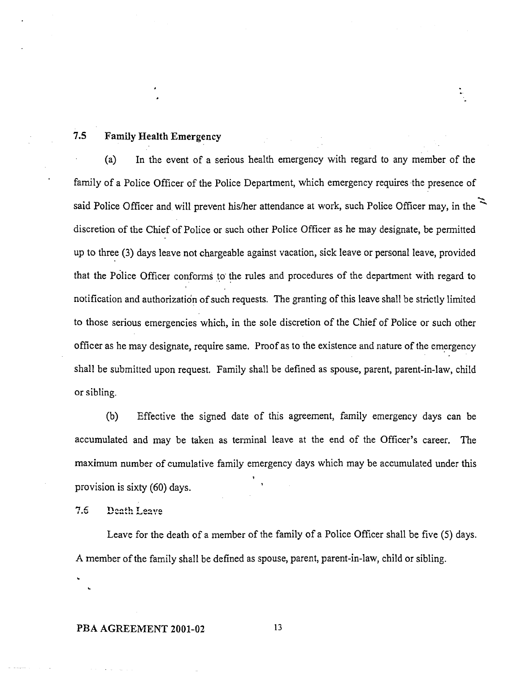# **7.5 FamiIy Health Emergency**

(a) In the event of a serious health emergency with regard to any member of the family of a Police Officer of the Police Department, which emergency requires the presence of - (a) In the event of a serious health emergency with regard to any member of the family of a Police Officer of the Police Department, which emergency requires the presence of said Police Officer and will prevent his/her att discretion of the Chief of Police or such other Police Officer as he may designate, be permitted up to three (3) days leave not chargeable against vacation, sick leave or personal leave, provided that the Police Officer conforms to the rules and procedures of the department with regard to notification and authorization of such requests. The granting of this leave shall be strictly limited to those serious emergencies which, in the sole discretion of the Chief of Police or such other officer as he may designate, require same. Proof as to the existence and nature of the emergency shall be submitted upon request. Family shall be defined as spouse, parent, parent-in-law, child or sibling.

(b) Effective the signed date of this agreement, family emergency days can be accumulated and may be taken as terminal leave at the end of the Officer's career. The maximum number of cumulative family emergency days which may be accumulated under this provision is sixty  $(60)$  days.

7.6 Death Leave

Leave for the death of a member of the family of a Police Officer shall be five (5) days. **A** member of the family shall be defined as spouse, parent, parent-in-law, child or sibling.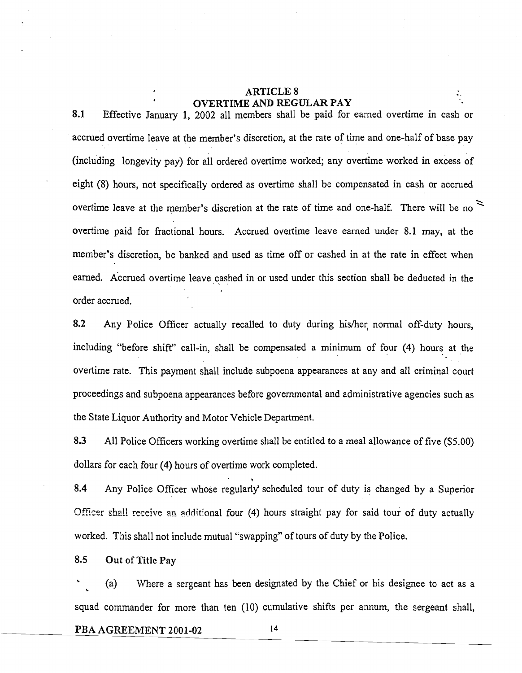# **ARTICLE 8** OVERTIME AND REGULAR PAY

**8.1** Effective January 1, 2002 all members shall be paid for earned overtime in cash or accrued overtime leave at the member's discretion, at the rate of time and one-half of base pay (including longevity pay) for all ordered overtime worked; any overtime worked in excess of eight (8) hours, not specifically ordered as overtime shall be compensated in cash or accrued overtime leave at the member's discretion at the rate of time and one-half. There will be no **x**  overtime paid for fractional hours. Accrued overtime leave earned under 8.1 may, at the member's discretion, be banked and used as time off or cashed in at the rate in effect when earned. Accrued overtime leave cashed in or used under this section shall be deducted in the order accrued.

**8.2** Any Police Officer actually recalled to duty during hisher, normal off-duty hours, including "before shift" call-in, shall be compensated a minimum of four (4) hours at the overtime rate. This payment shall include subpoena appearances at any and all criminal court proceedings and subpoena appearances before governmental and administrative agencies such as the State Liquor Authority and Motor Vehicle Department.

**8.3** A11 Police Officers working overtime shall be entitled to a meal allowance of five (\$5.00) dollars for each four (4) hours of overtime work completed. '

**8.4** Any Police Officer whose regularly' scheduled tour of duty is changed by a Superior Officer shall receive an additional four (4) hours straight pay for said tour of duty actually worked. This shall not include mutual "swapping" of tours of duty by the Police.

8.5 **Out of** Title **Pay** 

. (a) Where a sergeant has been designated by the Chief or his designee to act as a . squad commander for more than ten (10) cumulative shifts per annum, the sergeant shall,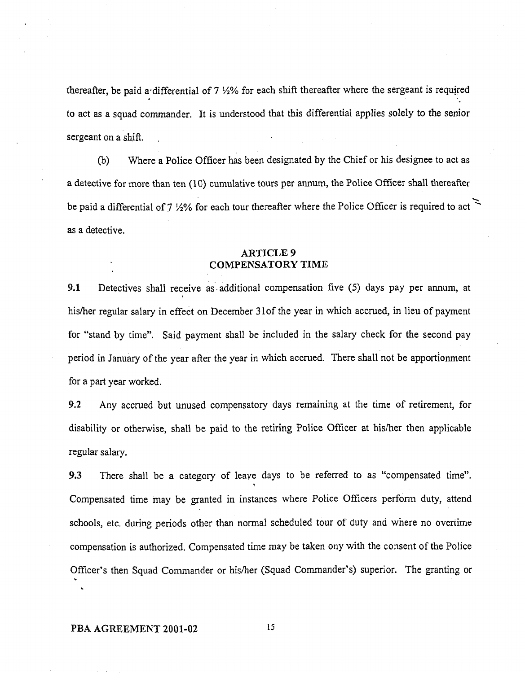thereafter, be paid a differential of 7 1/2% for each shift thereafter where the sergeant is required to act as a squad commander. It is understood that this differential applies solely to the senior sergeant on a shift.

(b) Where a Police Officer has been designated by the Chief or his designee to act as a detective for more than ten (10) cumulative tours per annum, the Police Officer shall thereafter --. a detective for more than ten (10) cumulative tours per annum, the Police Officer shall thereafter<br>be paid a differential of 7  $\frac{1}{2}\%$  for each tour thereafter where the Police Officer is required to act  $\approx$ as a detective.

#### **ARTICLE 9 COMPENSATORY TIME**

**I. S. President Communication** 

**9.1** Detectives shall receive as additional compensation five (5) days pay per annum, at hisher regular salary in effect on December 310f the year in which accrued, in lieu of payment for "stand by time". Said payment shall be included in the salary check for the second pay period in January of the year after the year in which accrued. There shall not be apportionment for a part year worked.

**9.2** Any accrued but unused compensatory days remaining at the time of retirement, for disability or otherwise, shall be paid to the retiring Police Officer at hisher then applicable regular salary.

**9.3** There shall be a category of leave days to be referred to as "compensated time". **1**  Compensated time may be granted in instances where Police Officers perform duty, attend schools, etc. during periods other than normal scheduled tour of duty and where no overtime compensation is authorized. Compensated time may be taken ony with the consent of the Police Officer's then Squad Commander or his/her (Squad Commander's) superior. The granting or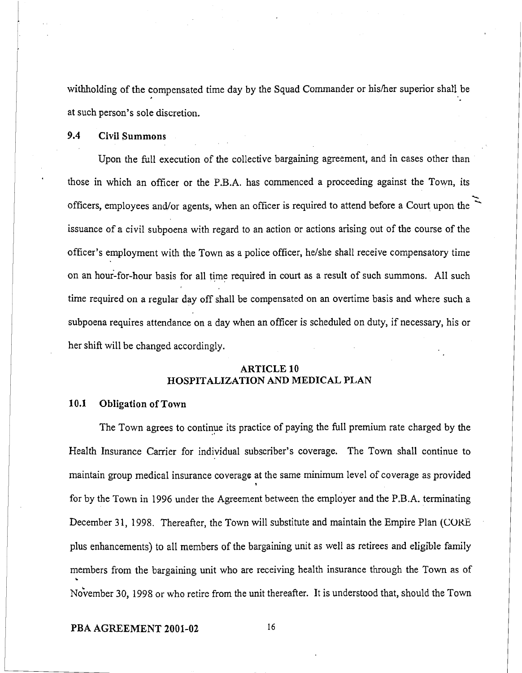withholding of the compensated time day by the Squad Commander or his/her superior shall be at such person's sole discretion.

9.4 **Civil Summons** 

Upon the full execution of the collective bargaining agreement, and in cases other than those in which an officer or the P.B.A. has commenced a proceeding against the Town, its officers, employees and/or agents, when an officer is required to attend before a Court upon the issuance of **a** civil subpoena with regard to an action or actions arising out of the course of the officer's employment with the Town as a police officer, helshe shall receive compensatory time on an hour-for-hour basis for all time required in court as a result of such summons. All such time required on a regular day off shall be compensated on an overtime basis and where such a subpoena requires attendance on a day when an officer is scheduled on duty, if necessary, his or her shift will be changed accordingly.

## **ARTICLE 10 HOSPITALIZATION AND MEDICAL PLAN**

#### **10.1 Obligation of Town**

The Town agrees to continue its practice of paying the full premium rate charged by the Health Insurance Carrier for individual subscriber's coverage. The Town shall continue to maintain group medical insurance coverage at the same minimum level of coverage as provided **t**  for by the Town in 1996 under the Agreement between the employer and the P.B.A. terminating December 31, 1998. Thereafter, the Town will substitute and maintain the Empire Plan (CORE plus enhancements) to all members of the bargaining unit as well as retirees and eligible family members from the bargaining unit who are receiving health insurance through the Town as of **L**  November 30, 1998 or who retire from the unit thereafter. It is understood that, should the Town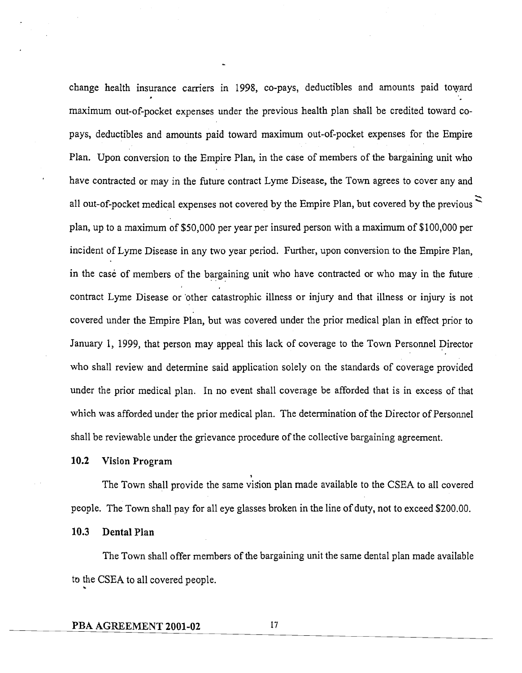change health insurance carriers in 1998, co-pays, deductibles and amounts paid toward maximum out-of-pocket expenses under the previous health plan shall be credited toward copays, deductibles and amounts paid toward maximum out-of-pocket expenses for the Empire Plan. Upon conversion to the Empire Plan, in the case of members of the bargaining unit who have contracted or may in the future contract Lyme Disease, the Town agrees to cover any and all out-of-pocket medical expenses not covered by the Empire Plan, but covered by the previous ' plan, up to a maximum of \$50,000 per year per insured person with a maximum of \$100,000 per incident of Lyme Disease in any two year period. Further, upon conversion to the Empire Plan, in the case of members of the bargaining unit who have contracted or who may in the future contract Lyme Disease or 'other catastrophic illness or injury and that illness or injury is not covered under the Empire Plan, but was covered under the prior medical plan in effect prior to January 1, 1999, that person may appeal this lack of coverage to the Town Personnel Director who shall review and determine said application solely on the standards of coverage provided under the prior medical plan. In no event shall coverage be afforded that is in excess of that which was afforded under the prior medical plan. The determination of the Director of Personnel shall be reviewable under the grievance procedure of the collective bargaining agreement.

'

**10.2 Vision Program** 

The Town shall provide the same vision plan made available to the CSEA to all covered people. The Town shall pay for all eye glasses broken in the line of duty, not to exceed \$200.00.

**10.3 Dental Plan** 

The Town shall offer members of the bargaining unit the same dental plan made available to the CSEA to all covered people. **<sup>b</sup>**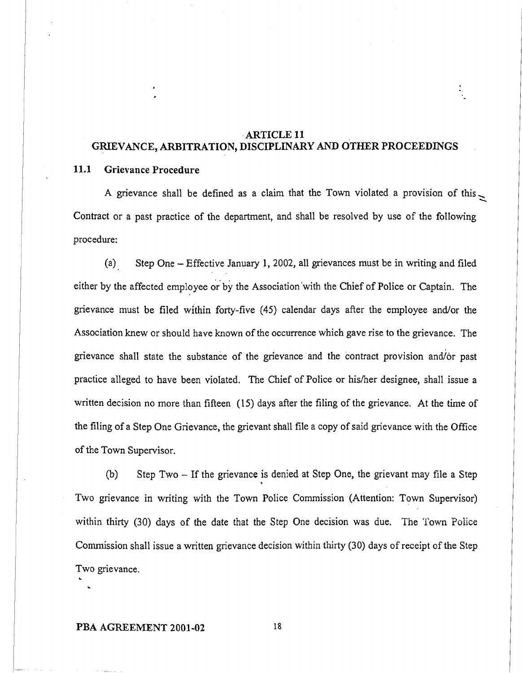# ARTICLE **11**  GRIEVANCE, ARBITRATION, DISCIPLINARY AND OTHER PROCEEDINGS

#### **11.1** Grievance Procedure

A grievance shall be defined as a claim that the Town violated a provision of this  $\geq$ Contract or a past practice of the department, and shall be resolved by use of the following procedure:

(a) Step One - Effective January 1, 2002, all grievances must be in writing and filed either by the affected employee by the Association'with the Chief of Police or Captain. The grievance must be filed within forty-five (45) calendar days after the employee andlor the Association knew or should have known of the occurrence which gave rise to the grievance. The grievance shall state the substance of the grievance and the contract provision and/or past practice alleged to have been violated. The Chief of Police or hisher designee, shall issue a written decision no more than fifteen (15) days after the filing of the grievance. At the time of the filing of a Step One Grievance, the grievant shall file a copy of said grievance with the Office of the Town Supervisor.

(b) Step Two - If the grievance is denied at Step One, the grievant may file a Step \* Two grievance in writing with the Town Police Commission (Attention: Town Supervisor) within thirty (30) days of the date that the Step One decision was due. The Town Police Commission shall issue a written grievance decision within thirty (30) days of receipt of the Step Two grievance.

#### PBA AGREEMENT **2001-02**

**L L**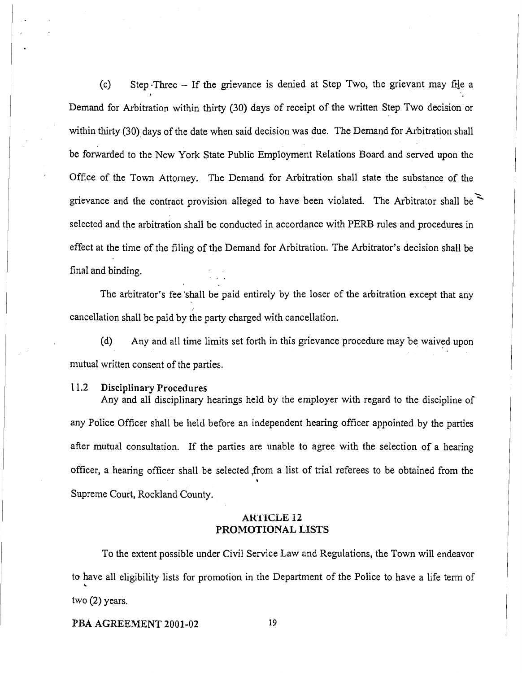(c) Step Three  $-$  If the grievance is denied at Step Two, the grievant may file a Demand for Arbitration within thirty (30) days of receipt of the written Step Two decision or within thirty (30) days of the date when said decision was due. The Demand for Arbitration shall be forwarded to the New York State Public Employment Relations Board and served upon the Office of the Town Attorney. The Demand for Arbitration shall state the substance of the  $\ddot{\mathbf{z}}$ be forwarded to the New York State Public Employment Relations Board and served upon the<br>Office of the Town Attorney. The Demand for Arbitration shall state the substance of the<br>grievance and the contract provision alleged selected and the arbitration shall be conducted in accordance with PERB rules and procedures in effect at the time of the filing of the Demand for Arbitration. The Arbitrator's decision shall be final and binding.

The arbitrator's fee 'shall be paid entirely by the loser of the arbitration except that any cancellation shall be paid by the party charged with cancellation.

(d) Any and all time limits set forth in this grievance procedure may be waived upon mutual written consent of the parties.

#### 1 1.2 **Disciplinary Procedures**

Any and all disciplinary hearings held by the employer with regard to the discipline of any Police Officer shall be held before an independent hearing officer appointed by the parties after mutual consultation. If the parties are unable to agree with the selection of a hearing officer, a hearing officer shall be selected ,from a list of trial referees to be obtained from the **9**  Supreme Court, Rockland County.

# **ARTICLE 12 PROMOTIONAL LISTS**

To the extent possible under Civil Service Law and Regulations, the Town will endeavor to have all eligibility lists for promotion in the Department of the Police to have a life term of two (2) years.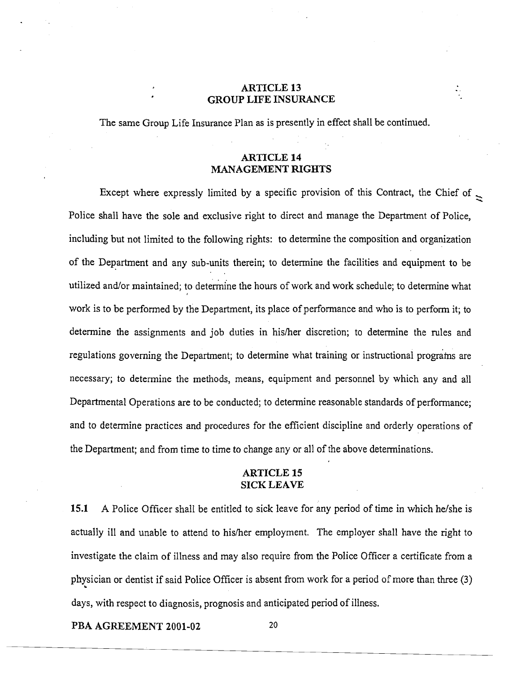#### **ARTICLE 13 GROUP LIFE INSURANCE**

The same Group Life Insurance Plan as is presently in effect shall be continued.

# **ARTICLE 14 MANAGEMENT RIGHTS**

Except where expressly limited by a specific provision of this Contract, the Chief of  $\ge$ Police shall have the sole and exclusive right to direct and manage the Department of Police, including but not limited to the following rights: to determine the composition and organization of the Department and any sub-units therein; to determine the facilities and equipment to be utilized and/or maintained; to determine the hours of work and work schedule; to determine what work is to be performed by the Department, its place of performance and who is to perform it; to determine the assignments and job duties in his/her discretion; to determine the rules and regulations governing the Department; to determine what training or instructional programs are necessary; to determine the methods, means, equipment and personnel by which any and all Departmental Operations are to be conducted; to determine reasonable standards of performance; and to determine practices and procedures for the efficient discipline and orderly operations of the Department; and from time to time to change any or all of the above determinations.

#### **ARTICLE 15 SICK LEAVE**

**15.1 A** Police Officer shall be entitled to sick leave for any period of time in which he/she is actually ill and unable to attend to hisher employment. The employer shall have the right to investigate the claim of illness and may also require from the Police Officer a certificate from a physician or dentist if said Police Officer is absent from work for a period of more than three (3) **<sup>C</sup>** days, with respect to diagnosis, prognosis and anticipated period of illness.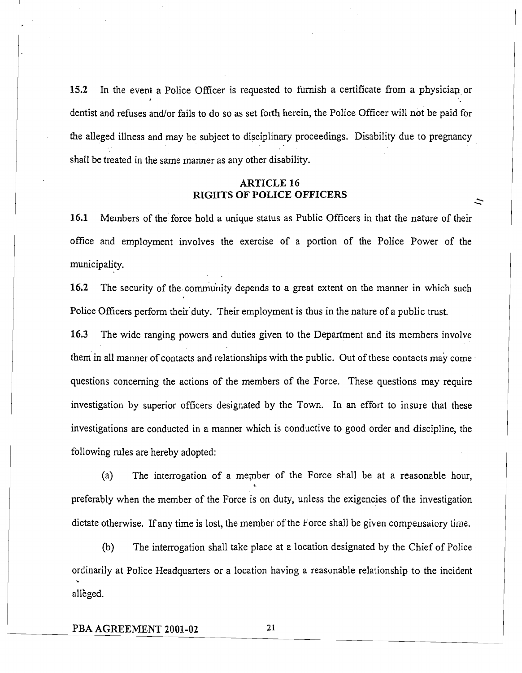15.2 In the event a Police Officer is requested to furnish a certificate from a physician or dentist and refuses and/or fails to do so as set forth herein, the Police Officer will not be paid for the alleged illness and may be subject to disciplinary proceedings. Disability due to pregnancy shall be treated in the same manner as any other disability.

## **ARTICLE 16 RIGHTS OF POLICE OFFICERS** \

 $\tilde{\phantom{0}}$ 

**16.1** Members of the force hold a unique status as Public Officers in that the nature of their office and employment involves the exercise of a portion of the Police Power of the municipality.

16.2 The security of the community depends to a great extent on the manner in which such Police Officers perform their duty. Their employment is thus in the nature of a public trust.

**16.3** The wide ranging powers and duties given to the Department and its members involve them in all manner of contacts and relationships with the public. Out of these contacts may come questions concerning the actions of the members of the Force. These questions may require investigation by superior officers designated by the Town. In an effort to insure that these investigations are conducted in a manner which is conductive to good order and discipline, the following rules are hereby adopted:

(a) The interrogation of a merpber of the Force shall be at a reasonable hour, **<sup>1</sup>** preferably when the member of the Force is on duty, unless the exigencies of the investigation dictate otherwise. If any time is lost, the member of the Force shall be given compensatory time.

(b) The interrogation shall take place at a location designated by the Chief of Police ordinarily at Police Headquarters or a location having a reasonable relationship to the incident alleged.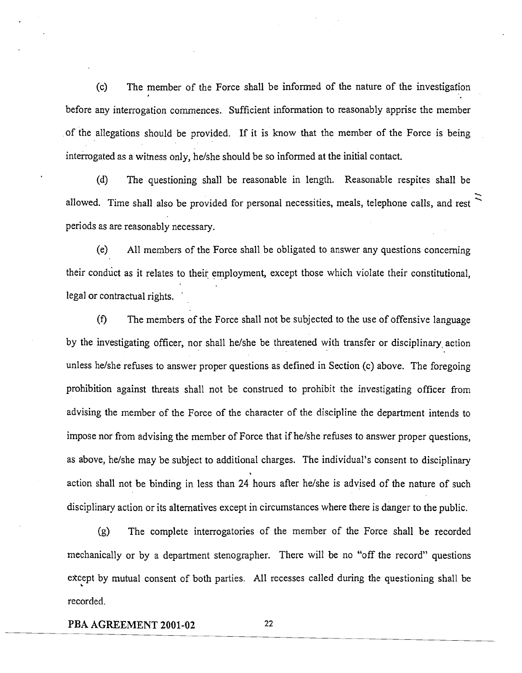(c) The member of the Force shall be informed of the nature of the investigafion before any interrogation commences. Sufficient information to reasonably apprise the member of the allegations should be provided. If it is know that the member of the Force is being interrogated as a witness only, helshe should be so informed at the initial contact.

(d) The questioning shall be reasonable in length. Reasonable respites shall be  $\ddot{z}$ allowed. Time shall also be provided for personal necessities, meals, telephone calls, and rest  $\tilde{\zeta}$ periods as are reasonably necessary.

(e) All members of the Force shall be obligated to answer any questions concerning their conduct as it relates to their employment, except those which violate their constitutional, legal or contractual rights.

**(f)** The members of the Force shall not be subjected to the use of offensive language by the investigating officer, nor shall he/she be threatened with transfer or disciplinary action unless helshe refuses to answer proper questions as defined in Section (c) above. The foregoing prohibition against threats shall not be construed to prohibit the investigating officer from advising the member of the Force of the character of the discipline the department intends to impose nor from advising the member of Force that if he/she refuses to answer proper questions, is above, he/she may be subject to additional charges. The individual's consent to disciplinary<br>, action shall not be binding in less than 24 hours after he/she is advised of the nature of such disciplinary action or its alternatives except in circumstances where there is danger to the public.

(g) The complete interrogatories of the member of the Force shall be recorded mechanically or by a department stenographer. There will be no "off the record" questions ekcept by mutual consent of both parties. All recesses called during the questioning shall be **<sup>b</sup>** recorded.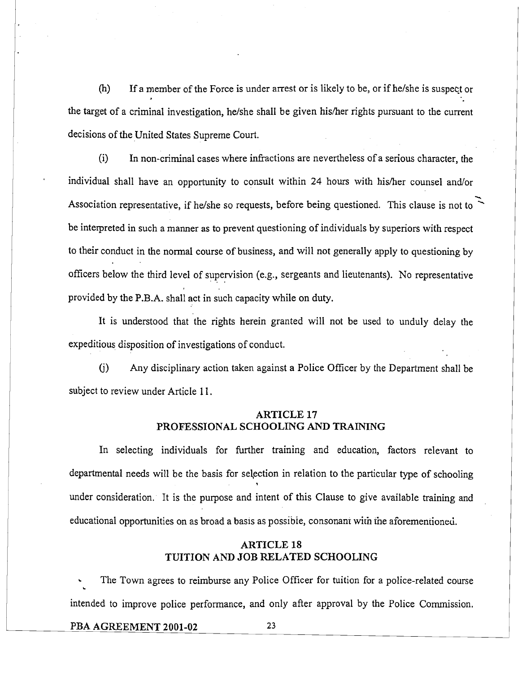(h) If a member of the Force is under arrest or is likely to be, or if helshe is suspect or the target of a criminal investigation, he/she shall be given his/her rights pursuant to the current decisions of the United States Supreme Court.

(i) In non-criminal cases where infractions are nevertheless of a serious character, the individual shall have an opportunity to consult within 24 hours with his/her counsel and/or -. Association representative, if he/she so requests, before being questioned. This clause is not to be interpreted in such a manner as to prevent questioning of individuals by superiors with respect to their conduct in the normal course of business, and will not generally apply to questioning by officers below the third level of supervision (e.g., sergeants and lieutenants). No representative . . provided by the P.B.A. shall act in such capacity while on duty.

It is understood that the rights herein granted will not be used to unduly delay the expeditious, disposition of investigations of conduct.

(j) Any disciplinary action taken against a Police Officer by the Department shall be subject to review under Article 11.

# ARTICLE **17**  PROFESSIONAL SCHOOLING AND TRAINING

In selecting individuals for further training and education, factors relevant to departmental needs will be the basis for selection in relation to the particular type of schooling under consideration. It is the purpose and intent of this Clause to give available training and educational opportunities on as broad a basis as possible, consonant with the aforementioned.

# ARTICLE **18**  TUITION AND JOB RELATED SCHOOLING

The Town agrees to reimburse any Police Officer for tuition for a police-related course intended to improve police performance, and only after approval by the Police Commission.

#### PBA AGREEMENT **2001-02**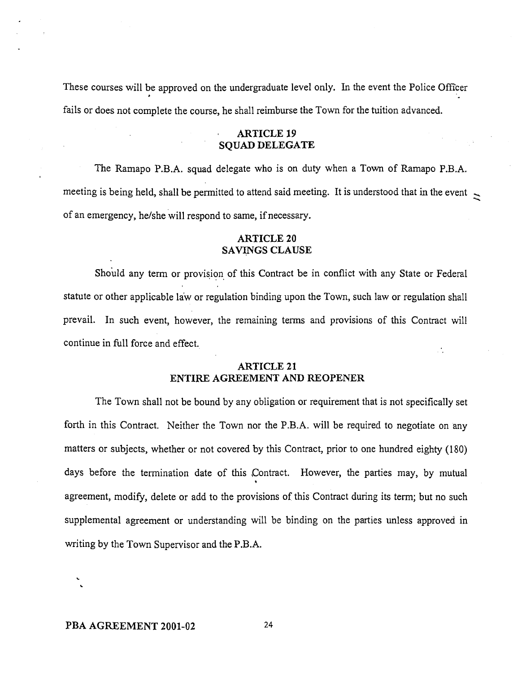These courses will be approved on the undergraduate level only. In the event the Police Officer fails or does not complete the course, he shall reimburse the Town for the tuition advanced.

#### ARTICLE **19**  SQUAD DELEGATE

The Rarnapo P.B.A. squad delegate who is on duty when a Town of Ramapo P.B.A. meeting is being held, shall be permitted to attend said meeting. It is understood that in the event  $\ge$ of an emergency, he/she will respond to same, if necessary.

## ARTICLE **20**  SAVINGS CLAUSE

Should any term or provision of this Contract be in conflict with any State or Federal statute or other applicable laiv or regulation binding upon the Town, such law or regulation shall prevail. In such event, however, the remaining terms and provisions of this Contract will continue in full force and effect.

#### ARTICLE **21**  ENTIRE AGREEMENT AND REOPENER

The Town shall not be bound by any obligation or requirement that is not specifically set forth in this Contract. Neither the Town nor the P.B.A. will be required to negotiate on any matters or subjects, whether or not covered by this Contract, prior to one hundred eighty (180) days before the termination date of this Contract. However, the parties may, by mutual **t**  agreement, modify, delete or add to the provisions of this Contract during its term; but no such supplemental agreement or understanding will be binding on the parties unless approved in writing by the Town Supervisor and the P.B.A.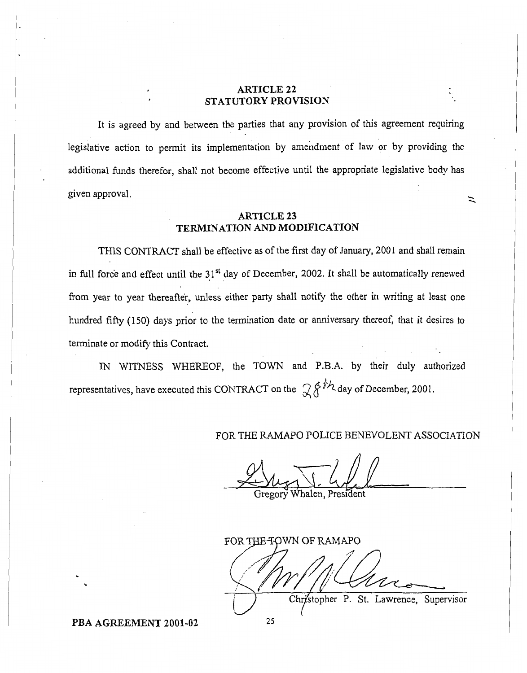# **ARTICLE 22 STATUTORY PROVISION**

It is agreed by and between the parties that any provision of this agreement requiring legislative action to permit its implementation by amendment of law or by providing the additional funds therefor, shall not become effective until the appropriate legislative body has given approval.

#### **ARTICLE 23 TERMINATION AND MODIFICATION**

THIS CONTRACT shall be effective as of the first day of January, 2001 and shall remain in full force and effect until the 31<sup>st</sup> day of December, 2002. It shall be automatically renewed from year to year thereafter, unless either party shall notify the other in writing at least one hundred fifty (150) days prior to the termination date or anniversary thereof, that it desires to terminate or modify this Contract.

**IN** WITNESS WHEREOF, the TOWN and P.B.A. by their duly authorized representatives, have executed this CONTRACT on the  $\mathcal{R}^{\xi^{\neq k}}$  day of December, 2001.

# FOR THE RAMAPO POLICE BENEVOLENT ASSOCIATION

7a4LT!\$! Gregory halen, President

FOR THE TOWN OF RAMAPO Christopher P. St. Lawrence, Supervisor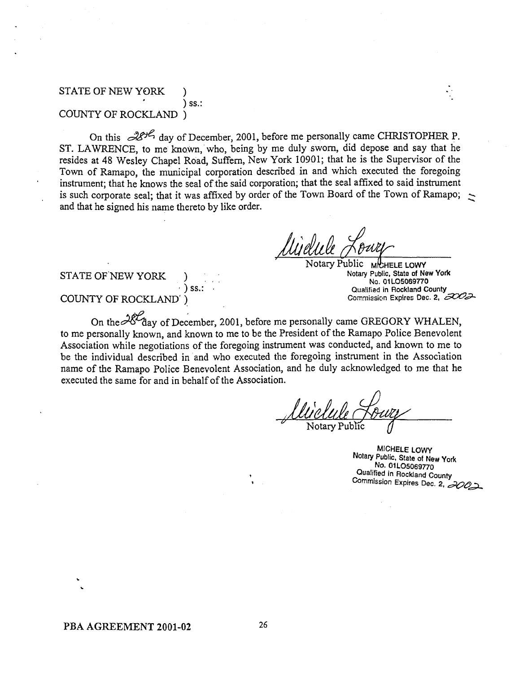#### STATE OF NEW YORK ) ss.: COUNTY OF ROCKLAND )

COUNTY OF ROCKLAND )<br>On this  $\mathcal{B}^{\mathcal{B}\mathcal{B}}$  day of December, 2001, before me personally came CHRISTOPHER P.<br>ST. LAWRENCE, to me known, who, being by me duly sworn, did depose and say that he resides at 48 Wesley Chapel Road, Suffern, New York 10901; that he is the Supervisor of the Town of Ramapo, the municipal corporation described in and which executed the foregoing instrument; that he knows the seal of the said corporation; that the seal affixed to said instrument is such corporate seal; that it was affixed by order of the Town Board of the Town of Ramapo; and that he signed his name thereto by like order.

#### Jotary Public **MICHELE LOWY Notary Public, State of New York No. 01 LO5069770 Qua!ified in Rockland County Comniission Expires Dec. 2, md**

#### STATE OF NEW YORK

# COUNTY OF ROCKLAND' )

 $)$  ss.:

On the  $28\%$  day of December, 2001, before me personally came GREGORY WHALEN, to me personally known, and known to me to be the President of the Ramapo Police Benevolent Association while negotiations of the foregoing instrument was conducted, and known to me to be the individual described in and who executed the foregoing instrument in the Association name of the Ramapo Police Benevolent Association, and he duly acknowledged to me that he executed the same for and in behalf of the Association.

**MICHELE LOWY**  Notary **Public, State of New York NO. 01 LO5069770 Qualified in Rockland County ~0mmiSsion Expires** Dec. **2,**